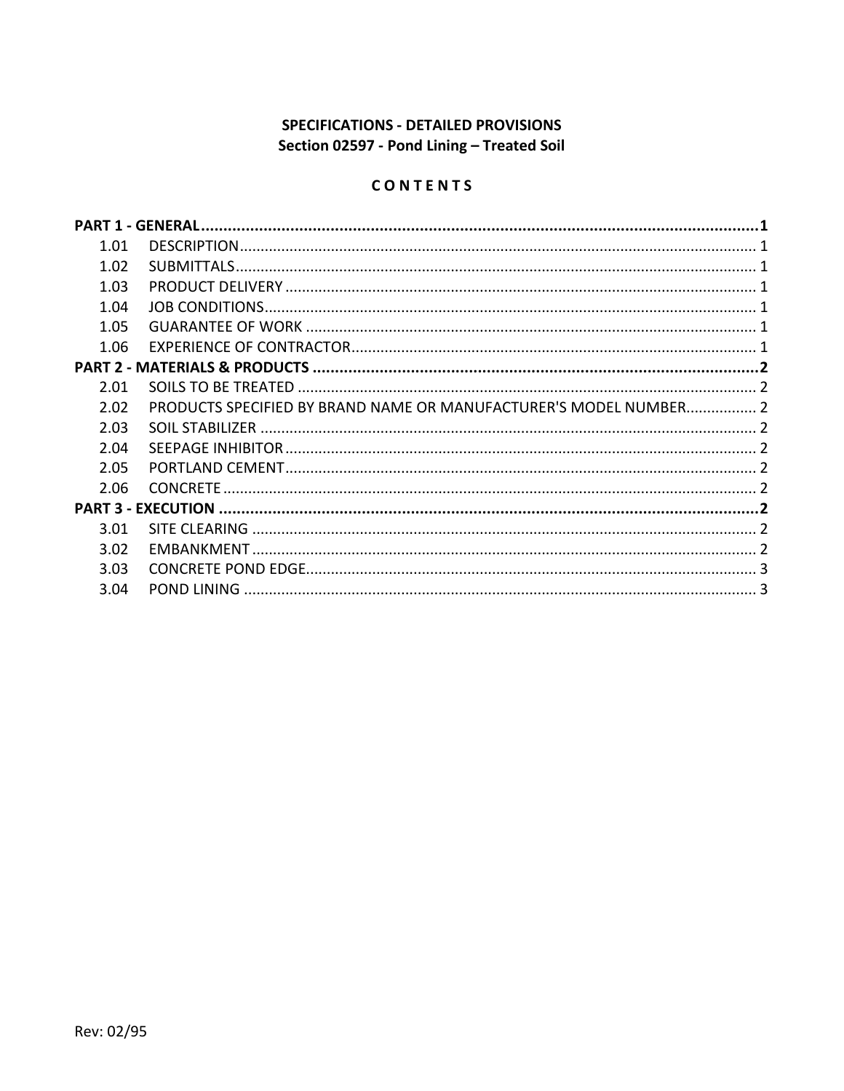# **SPECIFICATIONS - DETAILED PROVISIONS** Section 02597 - Pond Lining - Treated Soil

# CONTENTS

| 1.01 |                                                                   |  |
|------|-------------------------------------------------------------------|--|
| 1.02 |                                                                   |  |
| 1.03 |                                                                   |  |
| 1.04 |                                                                   |  |
| 1.05 |                                                                   |  |
| 1.06 |                                                                   |  |
|      |                                                                   |  |
| 2.01 |                                                                   |  |
| 2.02 | PRODUCTS SPECIFIED BY BRAND NAME OR MANUFACTURER'S MODEL NUMBER 2 |  |
| 2.03 |                                                                   |  |
| 2.04 |                                                                   |  |
| 2.05 |                                                                   |  |
| 2.06 |                                                                   |  |
|      |                                                                   |  |
| 3.01 |                                                                   |  |
| 3.02 |                                                                   |  |
| 3.03 |                                                                   |  |
| 3.04 | <b>POND LINING</b>                                                |  |
|      |                                                                   |  |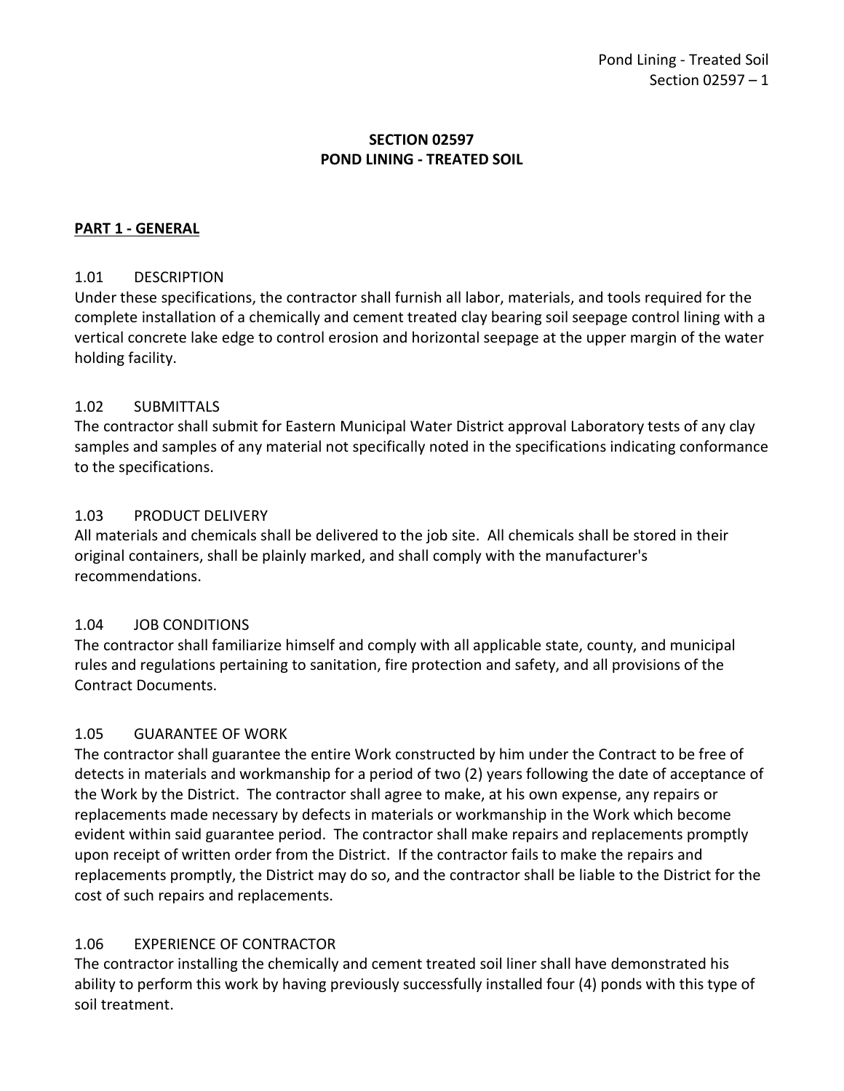# **SECTION 02597 POND LINING - TREATED SOIL**

### <span id="page-2-0"></span>**PART 1 - GENERAL**

### <span id="page-2-1"></span>1.01 DESCRIPTION

Under these specifications, the contractor shall furnish all labor, materials, and tools required for the complete installation of a chemically and cement treated clay bearing soil seepage control lining with a vertical concrete lake edge to control erosion and horizontal seepage at the upper margin of the water holding facility.

### <span id="page-2-2"></span>1.02 SUBMITTALS

The contractor shall submit for Eastern Municipal Water District approval Laboratory tests of any clay samples and samples of any material not specifically noted in the specifications indicating conformance to the specifications.

### <span id="page-2-3"></span>1.03 PRODUCT DELIVERY

All materials and chemicals shall be delivered to the job site. All chemicals shall be stored in their original containers, shall be plainly marked, and shall comply with the manufacturer's recommendations.

### <span id="page-2-4"></span>1.04 JOB CONDITIONS

The contractor shall familiarize himself and comply with all applicable state, county, and municipal rules and regulations pertaining to sanitation, fire protection and safety, and all provisions of the Contract Documents.

# <span id="page-2-5"></span>1.05 GUARANTEE OF WORK

The contractor shall guarantee the entire Work constructed by him under the Contract to be free of detects in materials and workmanship for a period of two (2) years following the date of acceptance of the Work by the District. The contractor shall agree to make, at his own expense, any repairs or replacements made necessary by defects in materials or workmanship in the Work which become evident within said guarantee period. The contractor shall make repairs and replacements promptly upon receipt of written order from the District. If the contractor fails to make the repairs and replacements promptly, the District may do so, and the contractor shall be liable to the District for the cost of such repairs and replacements.

# <span id="page-2-6"></span>1.06 EXPERIENCE OF CONTRACTOR

The contractor installing the chemically and cement treated soil liner shall have demonstrated his ability to perform this work by having previously successfully installed four (4) ponds with this type of soil treatment.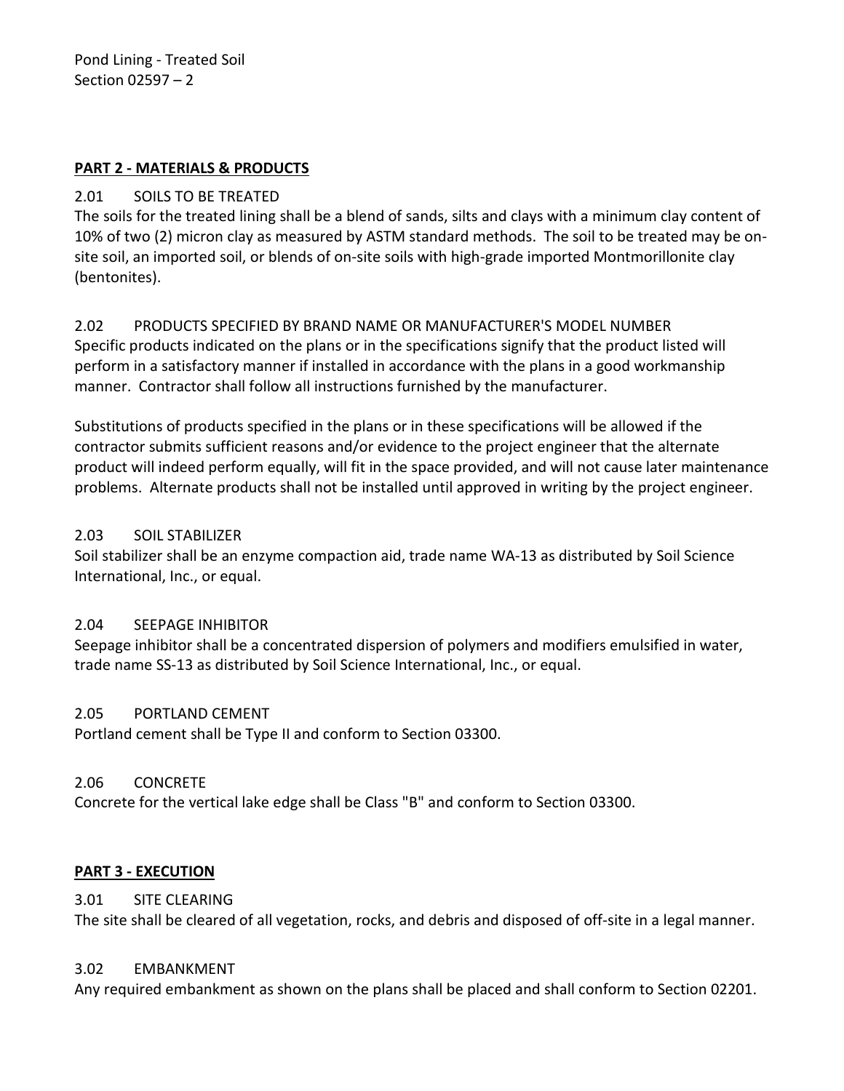Pond Lining - Treated Soil Section 02597 – 2

### <span id="page-3-0"></span>**PART 2 - MATERIALS & PRODUCTS**

### <span id="page-3-1"></span>2.01 SOILS TO BE TREATED

The soils for the treated lining shall be a blend of sands, silts and clays with a minimum clay content of 10% of two (2) micron clay as measured by ASTM standard methods. The soil to be treated may be onsite soil, an imported soil, or blends of on-site soils with high-grade imported Montmorillonite clay (bentonites).

# <span id="page-3-2"></span>2.02 PRODUCTS SPECIFIED BY BRAND NAME OR MANUFACTURER'S MODEL NUMBER

Specific products indicated on the plans or in the specifications signify that the product listed will perform in a satisfactory manner if installed in accordance with the plans in a good workmanship manner. Contractor shall follow all instructions furnished by the manufacturer.

Substitutions of products specified in the plans or in these specifications will be allowed if the contractor submits sufficient reasons and/or evidence to the project engineer that the alternate product will indeed perform equally, will fit in the space provided, and will not cause later maintenance problems. Alternate products shall not be installed until approved in writing by the project engineer.

### <span id="page-3-3"></span>2.03 SOIL STABILIZER

Soil stabilizer shall be an enzyme compaction aid, trade name WA-13 as distributed by Soil Science International, Inc., or equal.

### <span id="page-3-4"></span>2.04 SEEPAGE INHIBITOR

Seepage inhibitor shall be a concentrated dispersion of polymers and modifiers emulsified in water, trade name SS-13 as distributed by Soil Science International, Inc., or equal.

### <span id="page-3-5"></span>2.05 PORTLAND CEMENT

Portland cement shall be Type II and conform to Section 03300.

### <span id="page-3-6"></span>2.06 CONCRETE

Concrete for the vertical lake edge shall be Class "B" and conform to Section 03300.

### <span id="page-3-7"></span>**PART 3 - EXECUTION**

### <span id="page-3-8"></span>3.01 SITE CLEARING

The site shall be cleared of all vegetation, rocks, and debris and disposed of off-site in a legal manner.

### <span id="page-3-9"></span>3.02 EMBANKMENT

Any required embankment as shown on the plans shall be placed and shall conform to Section 02201.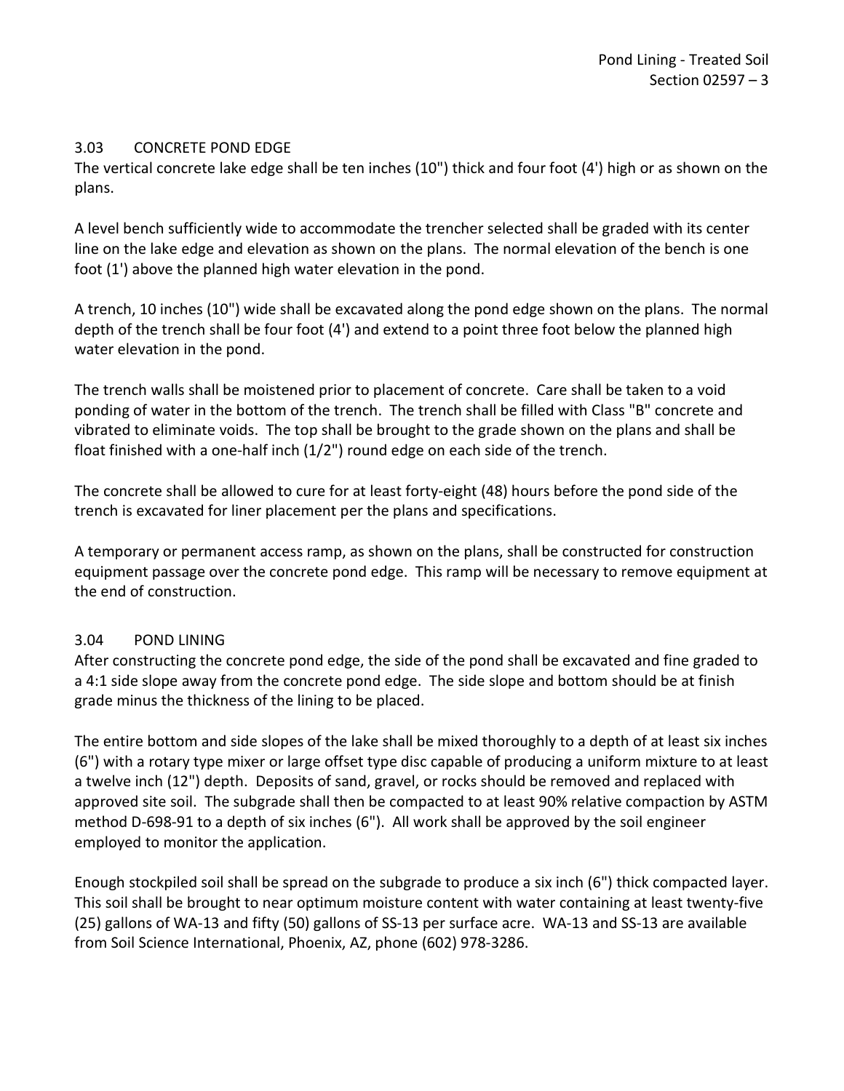### <span id="page-4-0"></span>3.03 CONCRETE POND EDGE

The vertical concrete lake edge shall be ten inches (10") thick and four foot (4') high or as shown on the plans.

A level bench sufficiently wide to accommodate the trencher selected shall be graded with its center line on the lake edge and elevation as shown on the plans. The normal elevation of the bench is one foot (1') above the planned high water elevation in the pond.

A trench, 10 inches (10") wide shall be excavated along the pond edge shown on the plans. The normal depth of the trench shall be four foot (4') and extend to a point three foot below the planned high water elevation in the pond.

The trench walls shall be moistened prior to placement of concrete. Care shall be taken to a void ponding of water in the bottom of the trench. The trench shall be filled with Class "B" concrete and vibrated to eliminate voids. The top shall be brought to the grade shown on the plans and shall be float finished with a one-half inch (1/2") round edge on each side of the trench.

The concrete shall be allowed to cure for at least forty-eight (48) hours before the pond side of the trench is excavated for liner placement per the plans and specifications.

A temporary or permanent access ramp, as shown on the plans, shall be constructed for construction equipment passage over the concrete pond edge. This ramp will be necessary to remove equipment at the end of construction.

# <span id="page-4-1"></span>3.04 POND LINING

After constructing the concrete pond edge, the side of the pond shall be excavated and fine graded to a 4:1 side slope away from the concrete pond edge. The side slope and bottom should be at finish grade minus the thickness of the lining to be placed.

The entire bottom and side slopes of the lake shall be mixed thoroughly to a depth of at least six inches (6") with a rotary type mixer or large offset type disc capable of producing a uniform mixture to at least a twelve inch (12") depth. Deposits of sand, gravel, or rocks should be removed and replaced with approved site soil. The subgrade shall then be compacted to at least 90% relative compaction by ASTM method D-698-91 to a depth of six inches (6"). All work shall be approved by the soil engineer employed to monitor the application.

Enough stockpiled soil shall be spread on the subgrade to produce a six inch (6") thick compacted layer. This soil shall be brought to near optimum moisture content with water containing at least twenty-five (25) gallons of WA-13 and fifty (50) gallons of SS-13 per surface acre. WA-13 and SS-13 are available from Soil Science International, Phoenix, AZ, phone (602) 978-3286.